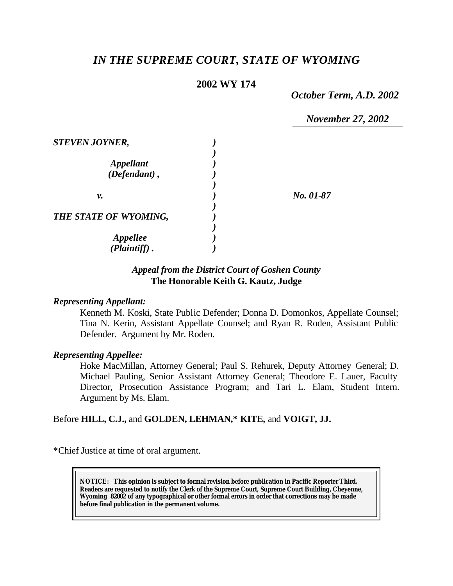# *IN THE SUPREME COURT, STATE OF WYOMING*

## **2002 WY 174**

*October Term, A.D. 2002*

*November 27, 2002*

| <b>STEVEN JOYNER,</b>  |           |
|------------------------|-----------|
|                        |           |
| <b>Appellant</b>       |           |
| $(Defendant)$ ,        |           |
|                        |           |
| ν.                     | No. 01-87 |
|                        |           |
| THE STATE OF WYOMING,  |           |
|                        |           |
| <i><b>Appellee</b></i> |           |
| $(Plaintiff)$ .        |           |

## *Appeal from the District Court of Goshen County* **The Honorable Keith G. Kautz, Judge**

#### *Representing Appellant:*

Kenneth M. Koski, State Public Defender; Donna D. Domonkos, Appellate Counsel; Tina N. Kerin, Assistant Appellate Counsel; and Ryan R. Roden, Assistant Public Defender. Argument by Mr. Roden.

#### *Representing Appellee:*

Hoke MacMillan, Attorney General; Paul S. Rehurek, Deputy Attorney General; D. Michael Pauling, Senior Assistant Attorney General; Theodore E. Lauer, Faculty Director, Prosecution Assistance Program; and Tari L. Elam, Student Intern. Argument by Ms. Elam.

Before **HILL, C.J.,** and **GOLDEN, LEHMAN,\* KITE,** and **VOIGT, JJ.**

\*Chief Justice at time of oral argument.

**NOTICE:** *This opinion is subject to formal revision before publication in Pacific Reporter Third. Readers are requested to notify the Clerk of the Supreme Court, Supreme Court Building, Cheyenne, Wyoming 82002 of any typographical or other formal errors in order that corrections may be made before final publication in the permanent volume.*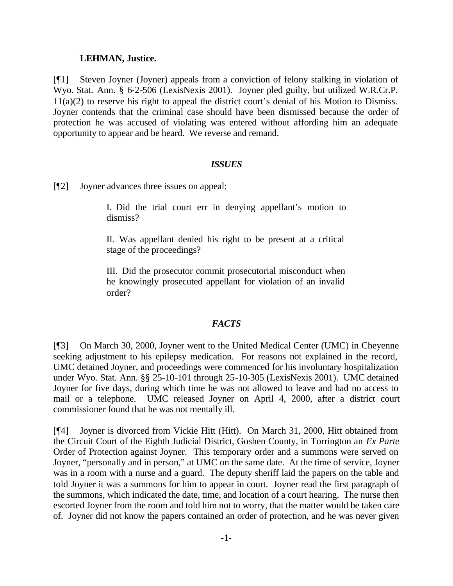## **LEHMAN, Justice.**

[¶1] Steven Joyner (Joyner) appeals from a conviction of felony stalking in violation of Wyo. Stat. Ann. § 6-2-506 (LexisNexis 2001). Joyner pled guilty, but utilized W.R.Cr.P. 11(a)(2) to reserve his right to appeal the district court's denial of his Motion to Dismiss. Joyner contends that the criminal case should have been dismissed because the order of protection he was accused of violating was entered without affording him an adequate opportunity to appear and be heard. We reverse and remand.

## *ISSUES*

[¶2] Joyner advances three issues on appeal:

I. Did the trial court err in denying appellant's motion to dismiss?

II. Was appellant denied his right to be present at a critical stage of the proceedings?

III. Did the prosecutor commit prosecutorial misconduct when he knowingly prosecuted appellant for violation of an invalid order?

## *FACTS*

[¶3] On March 30, 2000, Joyner went to the United Medical Center (UMC) in Cheyenne seeking adjustment to his epilepsy medication. For reasons not explained in the record, UMC detained Joyner, and proceedings were commenced for his involuntary hospitalization under Wyo. Stat. Ann. §§ 25-10-101 through 25-10-305 (LexisNexis 2001). UMC detained Joyner for five days, during which time he was not allowed to leave and had no access to mail or a telephone. UMC released Joyner on April 4, 2000, after a district court commissioner found that he was not mentally ill.

[¶4] Joyner is divorced from Vickie Hitt (Hitt). On March 31, 2000, Hitt obtained from the Circuit Court of the Eighth Judicial District, Goshen County, in Torrington an *Ex Parte* Order of Protection against Joyner. This temporary order and a summons were served on Joyner, "personally and in person," at UMC on the same date. At the time of service, Joyner was in a room with a nurse and a guard. The deputy sheriff laid the papers on the table and told Joyner it was a summons for him to appear in court. Joyner read the first paragraph of the summons, which indicated the date, time, and location of a court hearing. The nurse then escorted Joyner from the room and told him not to worry, that the matter would be taken care of. Joyner did not know the papers contained an order of protection, and he was never given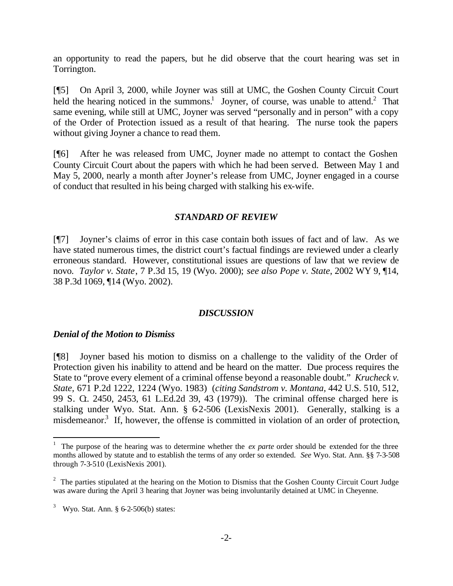an opportunity to read the papers, but he did observe that the court hearing was set in Torrington.

[¶5] On April 3, 2000, while Joyner was still at UMC, the Goshen County Circuit Court held the hearing noticed in the summons.<sup>1</sup> Joyner, of course, was unable to attend.<sup>2</sup> That same evening, while still at UMC, Joyner was served "personally and in person" with a copy of the Order of Protection issued as a result of that hearing. The nurse took the papers without giving Joyner a chance to read them.

[¶6] After he was released from UMC, Joyner made no attempt to contact the Goshen County Circuit Court about the papers with which he had been served. Between May 1 and May 5, 2000, nearly a month after Joyner's release from UMC, Joyner engaged in a course of conduct that resulted in his being charged with stalking his ex-wife.

### *STANDARD OF REVIEW*

[¶7] Joyner's claims of error in this case contain both issues of fact and of law. As we have stated numerous times, the district court's factual findings are reviewed under a clearly erroneous standard. However, constitutional issues are questions of law that we review de novo. *Taylor v. State*, 7 P.3d 15, 19 (Wyo. 2000); *see also Pope v. State*, 2002 WY 9, ¶14, 38 P.3d 1069, ¶14 (Wyo. 2002).

### *DISCUSSION*

### *Denial of the Motion to Dismiss*

[¶8] Joyner based his motion to dismiss on a challenge to the validity of the Order of Protection given his inability to attend and be heard on the matter. Due process requires the State to "prove every element of a criminal offense beyond a reasonable doubt." *Krucheck v. State,* 671 P.2d 1222, 1224 (Wyo. 1983) (*citing Sandstrom v. Montana,* 442 U.S. 510, 512, 99 S. G. 2450, 2453, 61 L.Ed.2d 39, 43 (1979)). The criminal offense charged here is stalking under Wyo. Stat. Ann. § 62-506 (LexisNexis 2001). Generally, stalking is a misdemeanor.<sup>3</sup> If, however, the offense is committed in violation of an order of protection,

<sup>&</sup>lt;sup>1</sup> The purpose of the hearing was to determine whether the *ex parte* order should be extended for the three months allowed by statute and to establish the terms of any order so extended. *See* Wyo. Stat. Ann. §§ 7-3-508 through 7-3-510 (LexisNexis 2001).

 $2$  The parties stipulated at the hearing on the Motion to Dismiss that the Goshen County Circuit Court Judge was aware during the April 3 hearing that Joyner was being involuntarily detained at UMC in Cheyenne.

 $3$  Wyo. Stat. Ann. § 6-2-506(b) states: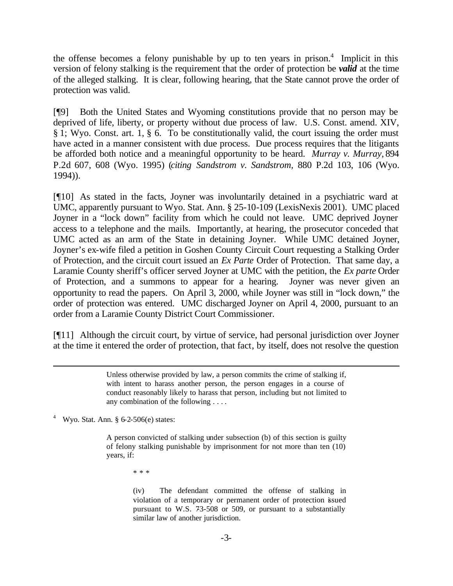the offense becomes a felony punishable by up to ten years in prison.<sup>4</sup> Implicit in this version of felony stalking is the requirement that the order of protection be *valid* at the time of the alleged stalking. It is clear, following hearing, that the State cannot prove the order of protection was valid.

[¶9] Both the United States and Wyoming constitutions provide that no person may be deprived of life, liberty, or property without due process of law. U.S. Const. amend. XIV, § 1; Wyo. Const. art. 1, § 6. To be constitutionally valid, the court issuing the order must have acted in a manner consistent with due process. Due process requires that the litigants be afforded both notice and a meaningful opportunity to be heard. *Murray v. Murray,* 894 P.2d 607, 608 (Wyo. 1995) (*citing Sandstrom v. Sandstrom,* 880 P.2d 103, 106 (Wyo. 1994)).

[¶10] As stated in the facts, Joyner was involuntarily detained in a psychiatric ward at UMC, apparently pursuant to Wyo. Stat. Ann. § 25-10-109 (LexisNexis 2001). UMC placed Joyner in a "lock down" facility from which he could not leave. UMC deprived Joyner access to a telephone and the mails. Importantly, at hearing, the prosecutor conceded that UMC acted as an arm of the State in detaining Joyner. While UMC detained Joyner, Joyner's ex-wife filed a petition in Goshen County Circuit Court requesting a Stalking Order of Protection, and the circuit court issued an *Ex Parte* Order of Protection. That same day, a Laramie County sheriff's officer served Joyner at UMC with the petition, the *Ex parte* Order of Protection, and a summons to appear for a hearing. Joyner was never given an opportunity to read the papers. On April 3, 2000, while Joyner was still in "lock down," the order of protection was entered. UMC discharged Joyner on April 4, 2000, pursuant to an order from a Laramie County District Court Commissioner.

[¶11] Although the circuit court, by virtue of service, had personal jurisdiction over Joyner at the time it entered the order of protection, that fact, by itself, does not resolve the question

> Unless otherwise provided by law, a person commits the crime of stalking if, with intent to harass another person, the person engages in a course of conduct reasonably likely to harass that person, including but not limited to any combination of the following . . . .

4 Wyo. Stat. Ann. § 6-2-506(e) states:

l

A person convicted of stalking under subsection (b) of this section is guilty of felony stalking punishable by imprisonment for not more than ten (10) years, if:

\* \* \*

(iv) The defendant committed the offense of stalking in violation of a temporary or permanent order of protection issued pursuant to W.S. 73-508 or 509, or pursuant to a substantially similar law of another jurisdiction.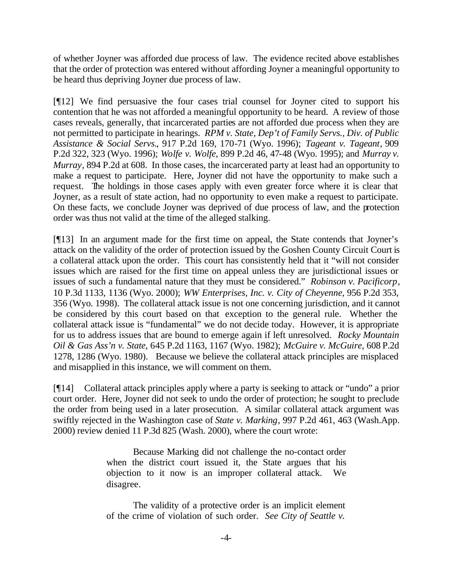of whether Joyner was afforded due process of law. The evidence recited above establishes that the order of protection was entered without affording Joyner a meaningful opportunity to be heard thus depriving Joyner due process of law.

[¶12] We find persuasive the four cases trial counsel for Joyner cited to support his contention that he was not afforded a meaningful opportunity to be heard. A review of those cases reveals, generally, that incarcerated parties are not afforded due process when they are not permitted to participate in hearings. *RPM v. State, Dep't of Family Servs., Div. of Public Assistance & Social Servs.*, 917 P.2d 169, 170-71 (Wyo. 1996); *Tageant v. Tageant*, 909 P.2d 322, 323 (Wyo. 1996); *Wolfe v. Wolfe*, 899 P.2d 46, 47-48 (Wyo. 1995); and *Murray v. Murray*, 894 P.2d at 608. In those cases, the incarcerated party at least had an opportunity to make a request to participate. Here, Joyner did not have the opportunity to make such a request. The holdings in those cases apply with even greater force where it is clear that Joyner, as a result of state action, had no opportunity to even make a request to participate. On these facts, we conclude Joyner was deprived of due process of law, and the protection order was thus not valid at the time of the alleged stalking.

[¶13] In an argument made for the first time on appeal, the State contends that Joyner's attack on the validity of the order of protection issued by the Goshen County Circuit Court is a collateral attack upon the order. This court has consistently held that it "will not consider issues which are raised for the first time on appeal unless they are jurisdictional issues or issues of such a fundamental nature that they must be considered." *Robinson v. Pacificorp*, 10 P.3d 1133, 1136 (Wyo. 2000); *WW Enterprises, Inc. v. City of Cheyenne*, 956 P.2d 353, 356 (Wyo. 1998). The collateral attack issue is not one concerning jurisdiction, and it cannot be considered by this court based on that exception to the general rule. Whether the collateral attack issue is "fundamental" we do not decide today. However, it is appropriate for us to address issues that are bound to emerge again if left unresolved. *Rocky Mountain Oil & Gas Ass'n v. State,* 645 P.2d 1163, 1167 (Wyo. 1982); *McGuire v. McGuire,* 608 P.2d 1278, 1286 (Wyo. 1980). Because we believe the collateral attack principles are misplaced and misapplied in this instance, we will comment on them.

[¶14] Collateral attack principles apply where a party is seeking to attack or "undo" a prior court order. Here, Joyner did not seek to undo the order of protection; he sought to preclude the order from being used in a later prosecution. A similar collateral attack argument was swiftly rejected in the Washington case of *State v. Marking*, 997 P.2d 461, 463 (Wash.App. 2000) review denied 11 P.3d 825 (Wash. 2000), where the court wrote:

> Because Marking did not challenge the no-contact order when the district court issued it, the State argues that his objection to it now is an improper collateral attack. We disagree.

> The validity of a protective order is an implicit element of the crime of violation of such order. *See City of Seattle v.*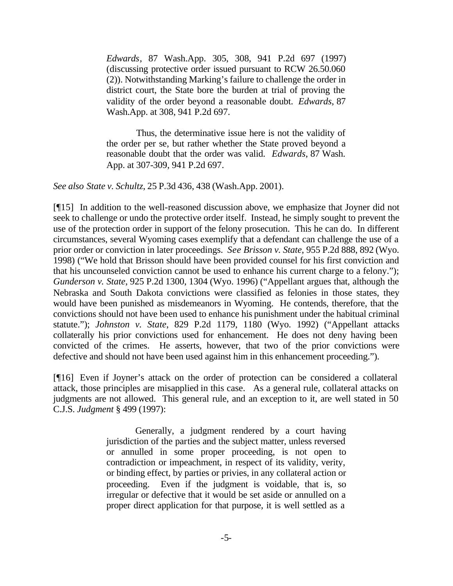*Edwards*, 87 Wash.App. 305, 308, 941 P.2d 697 (1997) (discussing protective order issued pursuant to RCW 26.50.060 (2)). Notwithstanding Marking's failure to challenge the order in district court, the State bore the burden at trial of proving the validity of the order beyond a reasonable doubt. *Edwards*, 87 Wash.App. at 308, 941 P.2d 697.

 Thus, the determinative issue here is not the validity of the order per se, but rather whether the State proved beyond a reasonable doubt that the order was valid. *Edwards*, 87 Wash. App. at 307-309, 941 P.2d 697.

*See also State v. Schultz*, 25 P.3d 436, 438 (Wash.App. 2001).

[¶15] In addition to the well-reasoned discussion above, we emphasize that Joyner did not seek to challenge or undo the protective order itself. Instead, he simply sought to prevent the use of the protection order in support of the felony prosecution. This he can do. In different circumstances, several Wyoming cases exemplify that a defendant can challenge the use of a prior order or conviction in later proceedings. *See Brisson v. State*, 955 P.2d 888, 892 (Wyo. 1998) ("We hold that Brisson should have been provided counsel for his first conviction and that his uncounseled conviction cannot be used to enhance his current charge to a felony."); *Gunderson v. State*, 925 P.2d 1300, 1304 (Wyo. 1996) ("Appellant argues that, although the Nebraska and South Dakota convictions were classified as felonies in those states, they would have been punished as misdemeanors in Wyoming. He contends, therefore, that the convictions should not have been used to enhance his punishment under the habitual criminal statute."); *Johnston v. State*, 829 P.2d 1179, 1180 (Wyo. 1992) ("Appellant attacks collaterally his prior convictions used for enhancement. He does not deny having been convicted of the crimes. He asserts, however, that two of the prior convictions were defective and should not have been used against him in this enhancement proceeding.").

[¶16] Even if Joyner's attack on the order of protection can be considered a collateral attack, those principles are misapplied in this case. As a general rule, collateral attacks on judgments are not allowed. This general rule, and an exception to it, are well stated in 50 C.J.S. *Judgment* § 499 (1997):

> Generally, a judgment rendered by a court having jurisdiction of the parties and the subject matter, unless reversed or annulled in some proper proceeding, is not open to contradiction or impeachment, in respect of its validity, verity, or binding effect, by parties or privies, in any collateral action or proceeding. Even if the judgment is voidable, that is, so irregular or defective that it would be set aside or annulled on a proper direct application for that purpose, it is well settled as a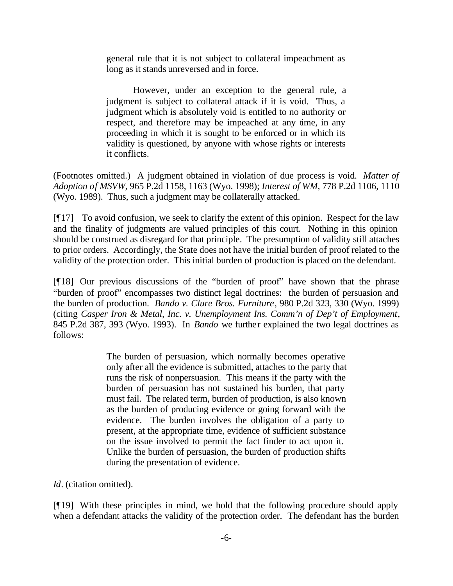general rule that it is not subject to collateral impeachment as long as it stands unreversed and in force.

However, under an exception to the general rule, a judgment is subject to collateral attack if it is void. Thus, a judgment which is absolutely void is entitled to no authority or respect, and therefore may be impeached at any time, in any proceeding in which it is sought to be enforced or in which its validity is questioned, by anyone with whose rights or interests it conflicts.

(Footnotes omitted.) A judgment obtained in violation of due process is void. *Matter of Adoption of MSVW,* 965 P.2d 1158, 1163 (Wyo. 1998); *Interest of WM,* 778 P.2d 1106, 1110 (Wyo. 1989). Thus, such a judgment may be collaterally attacked.

 $\llbracket \llbracket 17 \rrbracket$  To avoid confusion, we seek to clarify the extent of this opinion. Respect for the law and the finality of judgments are valued principles of this court. Nothing in this opinion should be construed as disregard for that principle. The presumption of validity still attaches to prior orders. Accordingly, the State does not have the initial burden of proof related to the validity of the protection order. This initial burden of production is placed on the defendant.

[¶18] Our previous discussions of the "burden of proof" have shown that the phrase "burden of proof" encompasses two distinct legal doctrines: the burden of persuasion and the burden of production. *Bando v. Clure Bros. Furniture*, 980 P.2d 323, 330 (Wyo. 1999) (citing *Casper Iron & Metal, Inc. v. Unemployment Ins. Comm'n of Dep't of Employment*, 845 P.2d 387, 393 (Wyo. 1993). In *Bando* we further explained the two legal doctrines as follows:

> The burden of persuasion, which normally becomes operative only after all the evidence is submitted, attaches to the party that runs the risk of nonpersuasion. This means if the party with the burden of persuasion has not sustained his burden, that party must fail. The related term, burden of production, is also known as the burden of producing evidence or going forward with the evidence. The burden involves the obligation of a party to present, at the appropriate time, evidence of sufficient substance on the issue involved to permit the fact finder to act upon it. Unlike the burden of persuasion, the burden of production shifts during the presentation of evidence.

*Id*. (citation omitted).

[¶19] With these principles in mind, we hold that the following procedure should apply when a defendant attacks the validity of the protection order. The defendant has the burden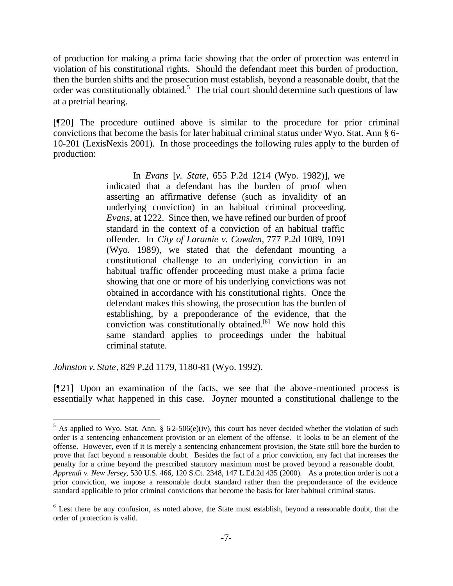of production for making a prima facie showing that the order of protection was entered in violation of his constitutional rights. Should the defendant meet this burden of production, then the burden shifts and the prosecution must establish, beyond a reasonable doubt, that the order was constitutionally obtained.<sup>5</sup> The trial court should determine such questions of law at a pretrial hearing.

[¶20] The procedure outlined above is similar to the procedure for prior criminal convictions that become the basis for later habitual criminal status under Wyo. Stat. Ann § 6- 10-201 (LexisNexis 2001). In those proceedings the following rules apply to the burden of production:

> In *Evans* [*v. State*, 655 P.2d 1214 (Wyo. 1982)], we indicated that a defendant has the burden of proof when asserting an affirmative defense (such as invalidity of an underlying conviction) in an habitual criminal proceeding. *Evans*, at 1222. Since then, we have refined our burden of proof standard in the context of a conviction of an habitual traffic offender. In *City of Laramie v. Cowden*, 777 P.2d 1089, 1091 (Wyo. 1989), we stated that the defendant mounting a constitutional challenge to an underlying conviction in an habitual traffic offender proceeding must make a prima facie showing that one or more of his underlying convictions was not obtained in accordance with his constitutional rights. Once the defendant makes this showing, the prosecution has the burden of establishing, by a preponderance of the evidence, that the conviction was constitutionally obtained.<sup>[6]</sup> We now hold this same standard applies to proceedings under the habitual criminal statute.

*Johnston v. State*, 829 P.2d 1179, 1180-81 (Wyo. 1992).

l

[¶21] Upon an examination of the facts, we see that the above-mentioned process is essentially what happened in this case. Joyner mounted a constitutional challenge to the

<sup>&</sup>lt;sup>5</sup> As applied to Wyo. Stat. Ann. § 6-2-506(e)(iv), this court has never decided whether the violation of such order is a sentencing enhancement provision or an element of the offense. It looks to be an element of the offense. However, even if it is merely a sentencing enhancement provision, the State still bore the burden to prove that fact beyond a reasonable doubt. Besides the fact of a prior conviction, any fact that increases the penalty for a crime beyond the prescribed statutory maximum must be proved beyond a reasonable doubt. *Apprendi v. New Jersey*, 530 U.S. 466, 120 S.Ct. 2348, 147 L.Ed.2d 435 (2000). As a protection order is not a prior conviction, we impose a reasonable doubt standard rather than the preponderance of the evidence standard applicable to prior criminal convictions that become the basis for later habitual criminal status.

<sup>&</sup>lt;sup>6</sup> Lest there be any confusion, as noted above, the State must establish, beyond a reasonable doubt, that the order of protection is valid.